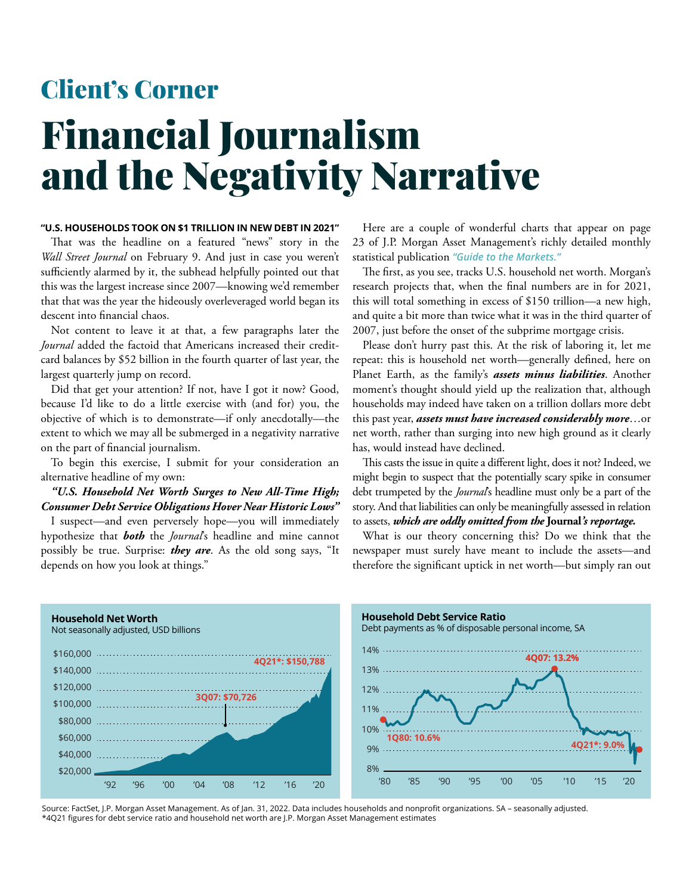## Financial Journalism and the Negativity Narrative Client's Corner

## **"U.S. HOUSEHOLDS TOOK ON \$1 TRILLION IN NEW DEBT IN 2021"**

That was the headline on a featured "news" story in the *Wall Street Journal* on February 9. And just in case you weren't sufficiently alarmed by it, the subhead helpfully pointed out that this was the largest increase since 2007—knowing we'd remember that that was the year the hideously overleveraged world began its descent into financial chaos.

Not content to leave it at that, a few paragraphs later the *Journal* added the factoid that Americans increased their creditcard balances by \$52 billion in the fourth quarter of last year, the largest quarterly jump on record.

Did that get your attention? If not, have I got it now? Good, because I'd like to do a little exercise with (and for) you, the objective of which is to demonstrate—if only anecdotally—the extent to which we may all be submerged in a negativity narrative on the part of financial journalism.

To begin this exercise, I submit for your consideration an alternative headline of my own:

*"U.S. Household Net Worth Surges to New All-Time High; Consumer Debt Service Obligations Hover Near Historic Lows"*

I suspect—and even perversely hope—you will immediately hypothesize that *both* the *Journal*'s headline and mine cannot possibly be true. Surprise: *they are*. As the old song says, "It depends on how you look at things."

Here are a couple of wonderful charts that appear on page 23 of J.P. Morgan Asset Management's richly detailed monthly statistical publication *"Guide to the Markets."*

The first, as you see, tracks U.S. household net worth. Morgan's research projects that, when the final numbers are in for 2021, this will total something in excess of \$150 trillion—a new high, and quite a bit more than twice what it was in the third quarter of 2007, just before the onset of the subprime mortgage crisis.

Please don't hurry past this. At the risk of laboring it, let me repeat: this is household net worth—generally defined, here on Planet Earth, as the family's *assets minus liabilities*. Another moment's thought should yield up the realization that, although households may indeed have taken on a trillion dollars more debt this past year, *assets must have increased considerably more*…or net worth, rather than surging into new high ground as it clearly has, would instead have declined.

This casts the issue in quite a different light, does it not? Indeed, we might begin to suspect that the potentially scary spike in consumer debt trumpeted by the *Journal*'s headline must only be a part of the story. And that liabilities can only be meaningfully assessed in relation to assets, *which are oddly omitted from the* **Journal***'s reportage.* 

What is our theory concerning this? Do we think that the newspaper must surely have meant to include the assets—and therefore the significant uptick in net worth—but simply ran out



Source: FactSet, J.P. Morgan Asset Management. As of Jan. 31, 2022. Data includes households and nonprofit organizations. SA – seasonally adjusted. \*4Q21 figures for debt service ratio and household net worth are J.P. Morgan Asset Management estimates